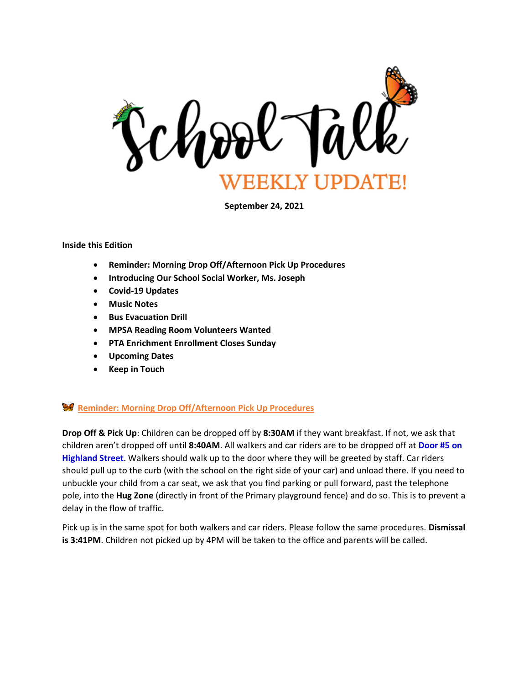

**September 24, 2021**

#### **Inside this Edition**

- **Reminder: Morning Drop Off/Afternoon Pick Up Procedures**
- **Introducing Our School Social Worker, Ms. Joseph**
- **Covid-19 Updates**
- **Music Notes**
- **Bus Evacuation Drill**
- **MPSA Reading Room Volunteers Wanted**
- **PTA Enrichment Enrollment Closes Sunday**
- **Upcoming Dates**
- **Keep in Touch**

#### **Reminder: Morning Drop Off/Afternoon Pick Up Procedures**

**Drop Off & Pick Up**: Children can be dropped off by **8:30AM** if they want breakfast. If not, we ask that children aren't dropped off until **8:40AM**. All walkers and car riders are to be dropped off at **Door #5 on Highland Street**. Walkers should walk up to the door where they will be greeted by staff. Car riders should pull up to the curb (with the school on the right side of your car) and unload there. If you need to unbuckle your child from a car seat, we ask that you find parking or pull forward, past the telephone pole, into the **Hug Zone** (directly in front of the Primary playground fence) and do so. This is to prevent a delay in the flow of traffic.

Pick up is in the same spot for both walkers and car riders. Please follow the same procedures. **Dismissal is 3:41PM**. Children not picked up by 4PM will be taken to the office and parents will be called.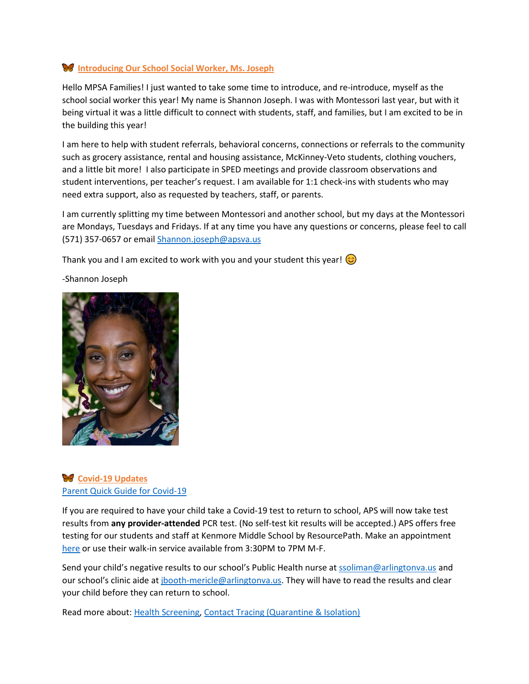#### **Introducing Our School Social Worker, Ms. Joseph**

Hello MPSA Families! I just wanted to take some time to introduce, and re-introduce, myself as the school social worker this year! My name is Shannon Joseph. I was with Montessori last year, but with it being virtual it was a little difficult to connect with students, staff, and families, but I am excited to be in the building this year!

I am here to help with student referrals, behavioral concerns, connections or referrals to the community such as grocery assistance, rental and housing assistance, McKinney-Veto students, clothing vouchers, and a little bit more! I also participate in SPED meetings and provide classroom observations and student interventions, per teacher's request. I am available for 1:1 check-ins with students who may need extra support, also as requested by teachers, staff, or parents.

I am currently splitting my time between Montessori and another school, but my days at the Montessori are Mondays, Tuesdays and Fridays. If at any time you have any questions or concerns, please feel to call (571) 357-0657 or email [Shannon.joseph@apsva.us](mailto:Shannon.joseph@apsva.us)

Thank you and I am excited to work with you and your student this year!  $\odot$ 





## **Covid-19 Updates** [Parent Quick Guide for Covid-19](https://www.apsva.us/wp-content/uploads/2021/09/parent-quick-guide-covid.pdf)

If you are required to have your child take a Covid-19 test to return to school, APS will now take test results from **any provider-attended** PCR test. (No self-test kit results will be accepted.) APS offers free testing for our students and staff at Kenmore Middle School by ResourcePath. Make an appointment [here](https://www.resourcepath.net/covid-19-testing-at-aps/symptom-exposed-backtoschool/) or use their walk-in service available from 3:30PM to 7PM M-F.

Send your child's negative results to our school's Public Health nurse a[t ssoliman@arlingtonva.us](mailto:ssoliman@arlingtonva.us) and our school's clinic aide at [jbooth-mericle@arlingtonva.us.](mailto:jbooth-mericle@arlingtonva.us) They will have to read the results and clear your child before they can return to school.

Read more about: [Health Screening,](https://www.apsva.us/school-year-2021-22/health-safety-information/health-screening/) [Contact Tracing \(Quarantine & Isolation\)](https://www.apsva.us/school-year-2021-22/health-safety-information/contact-tracing-quarantine-isolation/)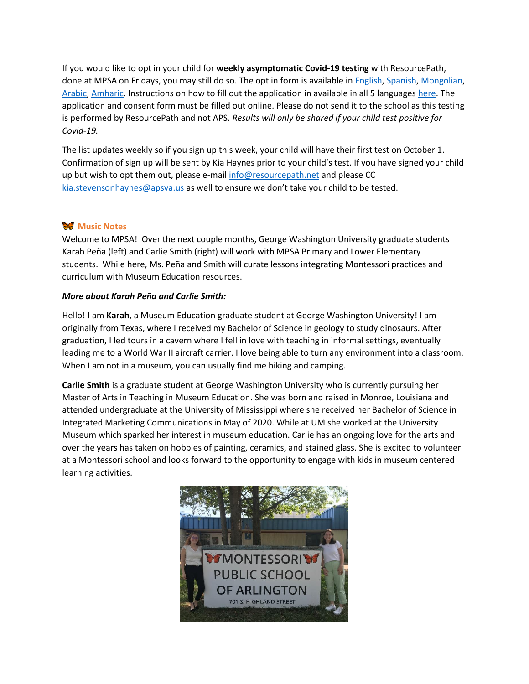If you would like to opt in your child for **weekly asymptomatic Covid-19 testing** with ResourcePath, done at MPSA on Fridays, you may still do so. The opt in form is available in [English,](https://intakeq.com/new/v2el2k/XYbiT3) [Spanish,](https://intakeq.com/new/v2el2k/16ZP9I) [Mongolian,](https://intakeq.com/new/v2el2k/tej9In) [Arabic,](https://intakeq.com/new/v2el2k/g3fXl6) [Amharic.](https://intakeq.com/new/v2el2k/SmQp3u) Instructions on how to fill out the application in available in all 5 languages [here.](https://www.resourcepath.net/covid-19-testing-at-aps/signing-up-for-school-testing/) The application and consent form must be filled out online. Please do not send it to the school as this testing is performed by ResourcePath and not APS. *Results will only be shared if your child test positive for Covid-19.* 

The list updates weekly so if you sign up this week, your child will have their first test on October 1. Confirmation of sign up will be sent by Kia Haynes prior to your child's test. If you have signed your child up but wish to opt them out, please e-mail [info@resourcepath.net](mailto:info@resourcepath.net) and please CC [kia.stevensonhaynes@apsva.us](mailto:kia.stevensonhaynes@apsva.us) as well to ensure we don't take your child to be tested.

# **Music Notes**

Welcome to MPSA! Over the next couple months, George Washington University graduate students Karah Peña (left) and Carlie Smith (right) will work with MPSA Primary and Lower Elementary students. While here, Ms. Peña and Smith will curate lessons integrating Montessori practices and curriculum with Museum Education resources.

#### *More about Karah Peña and Carlie Smith:*

Hello! I am **Karah**, a Museum Education graduate student at George Washington University! I am originally from Texas, where I received my Bachelor of Science in geology to study dinosaurs. After graduation, I led tours in a cavern where I fell in love with teaching in informal settings, eventually leading me to a World War II aircraft carrier. I love being able to turn any environment into a classroom. When I am not in a museum, you can usually find me hiking and camping.

**Carlie Smith** is a graduate student at George Washington University who is currently pursuing her Master of Arts in Teaching in Museum Education. She was born and raised in Monroe, Louisiana and attended undergraduate at the University of Mississippi where she received her Bachelor of Science in Integrated Marketing Communications in May of 2020. While at UM she worked at the University Museum which sparked her interest in museum education. Carlie has an ongoing love for the arts and over the years has taken on hobbies of painting, ceramics, and stained glass. She is excited to volunteer at a Montessori school and looks forward to the opportunity to engage with kids in museum centered learning activities.